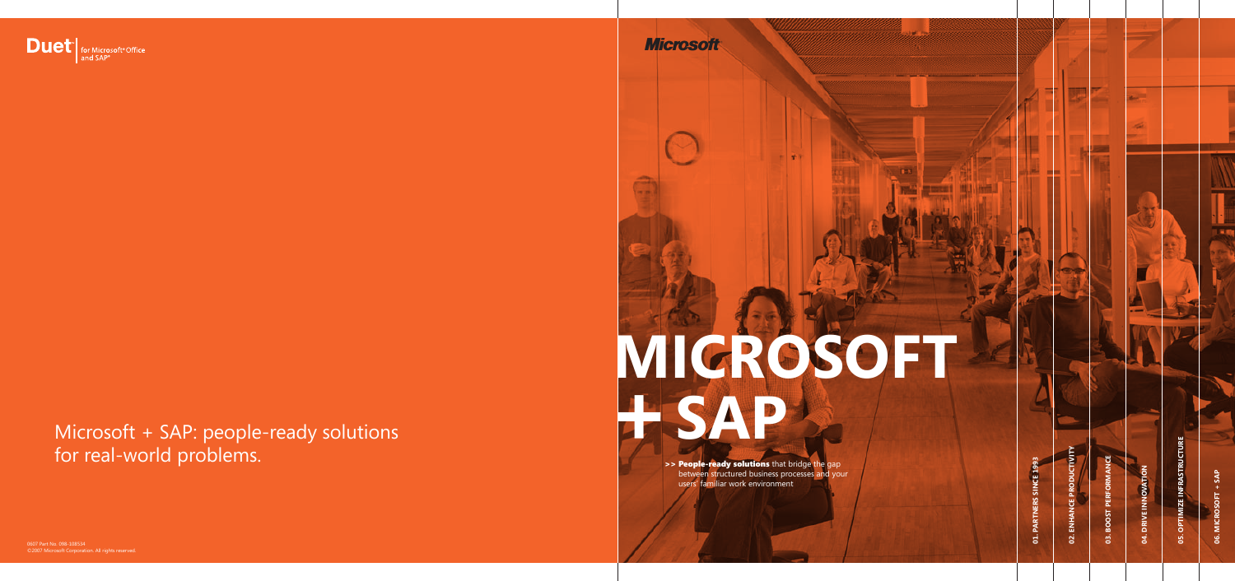# **MICROSOFT + SAP**

>> People-ready solutions that bridge the gap between structured business processes and your users' familiar work environment

0607 Part No. 098-108534 ©2007 Microsoft Corporation. All rights reserved.



Microsoft + SAP: people-ready solutions for real-world problems.

**Microsoft** 

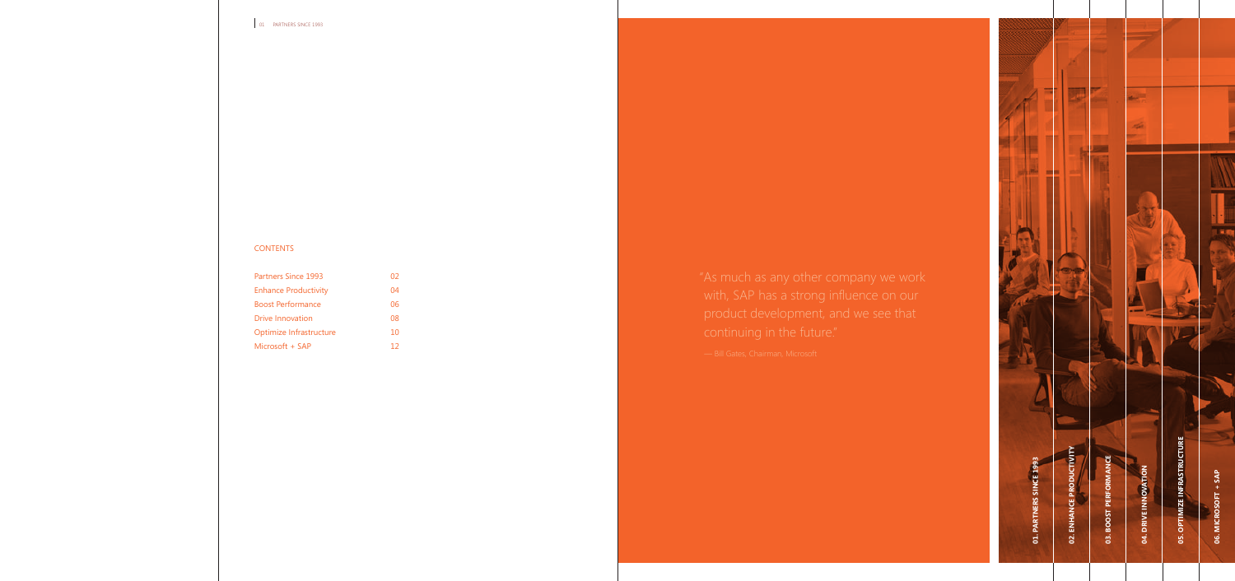#### CONTENTS

| <b>Partners Since 1993</b>  | 02 |
|-----------------------------|----|
| <b>Enhance Productivity</b> | 04 |
| <b>Boost Performance</b>    | 06 |
| <b>Drive Innovation</b>     | 08 |
| Optimize Infrastructure     | 10 |
| Microsoft + SAP             | 12 |

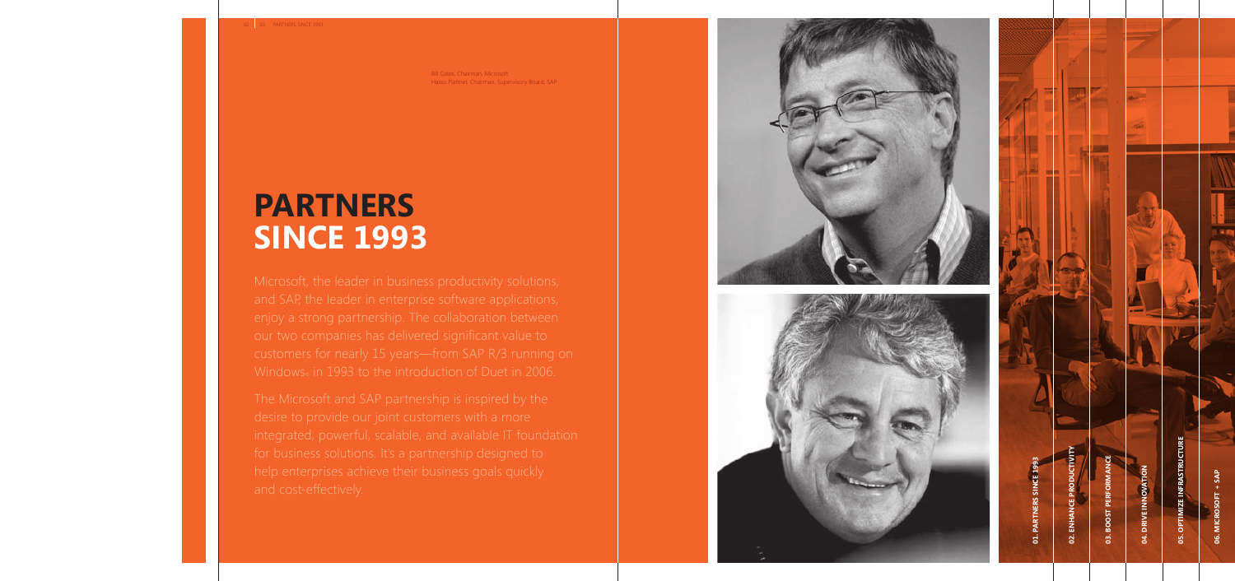Bill Gates, Chairman, Microsoft Hasso Plattner, Chairman, Supervisory Board, SAP

### **PARTNERS SINCE 1993**





**03. Boost Performance**

**BOOST** 

gi

**04. Drive Inn**

 $\vec{x}$ 

**o vation**

a,

**05. Optimize Infrastructure**

**MIZE INFRASTRUCTURE**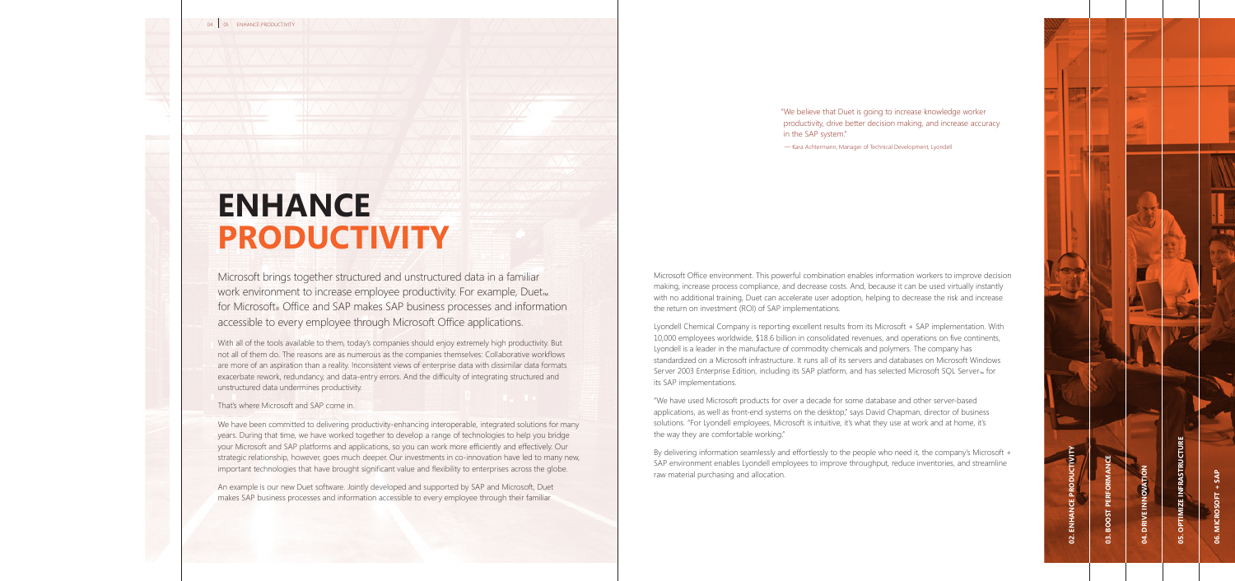# **ENHANCE PRODUCTIVITY**

Microsoft brings together structured and unstructured data in a familiar work environment to increase employee productivity. For example, Duet<sub>™</sub> for Microsoft® Office and SAP makes SAP business processes and information accessible to every employee through Microsoft Office applications.

With all of the tools available to them, today's companies should enjoy extremely high productivity. But not all of them do. The reasons are as numerous as the companies themselves: Collaborative workflows are more of an aspiration than a reality. Inconsistent views of enterprise data with dissimilar data formats exacerbate rework, redundancy, and data-entry errors. And the difficulty of integrating structured and unstructured data undermines productivity.

#### That's where Microsoft and SAP come in.

We have been committed to delivering productivity-enhancing interoperable, integrated solutions for many years. During that time, we have worked together to develop a range of technologies to help you bridge your Microsoft and SAP platforms and applications, so you can work more efficiently and effectively. Our strategic relationship, however, goes much deeper. Our investments in co-innovation have led to many new, important technologies that have brought significant value and flexibility to enterprises across the globe.

An example is our new Duet software. Jointly developed and supported by SAP and Microsoft, Duet makes SAP business processes and information accessible to every employee through their familiar

"We believe that Duet is going to increase knowledge worker productivity, drive better decision making, and increase accuracy in the SAP system."

— Kara Achtermann, Manager of Technical Development, Lyondell

Microsoft Office environment. This powerful combination enables information workers to improve decision making, increase process compliance, and decrease costs. And, because it can be used virtually instantly with no additional training, Duet can accelerate user adoption, helping to decrease the risk and increase the return on investment (ROI) of SAP implementations.

Lyondell Chemical Company is reporting excellent results from its Microsoft + SAP implementation. With 10,000 employees worldwide, \$18.6 billion in consolidated revenues, and operations on five continents, Lyondell is a leader in the manufacture of commodity chemicals and polymers. The company has standardized on a Microsoft infrastructure. It runs all of its servers and databases on Microsoft Windows Server 2003 Enterprise Edition, including its SAP platform, and has selected Microsoft SQL Server<sub>™</sub> for its SAP implementations.

"We have used Microsoft products for over a decade for some database and other server-based applications, as well as front-end systems on the desktop," says David Chapman, director of business solutions. "For Lyondell employees, Microsoft is intuitive, it's what they use at work and at home, it's the way they are comfortable working."

By delivering information seamlessly and effortlessly to the people who need it, the company's Microsoft + SAP environment enables Lyondell employees to improve throughput, reduce inventories, and streamline raw material purchasing and allocation.

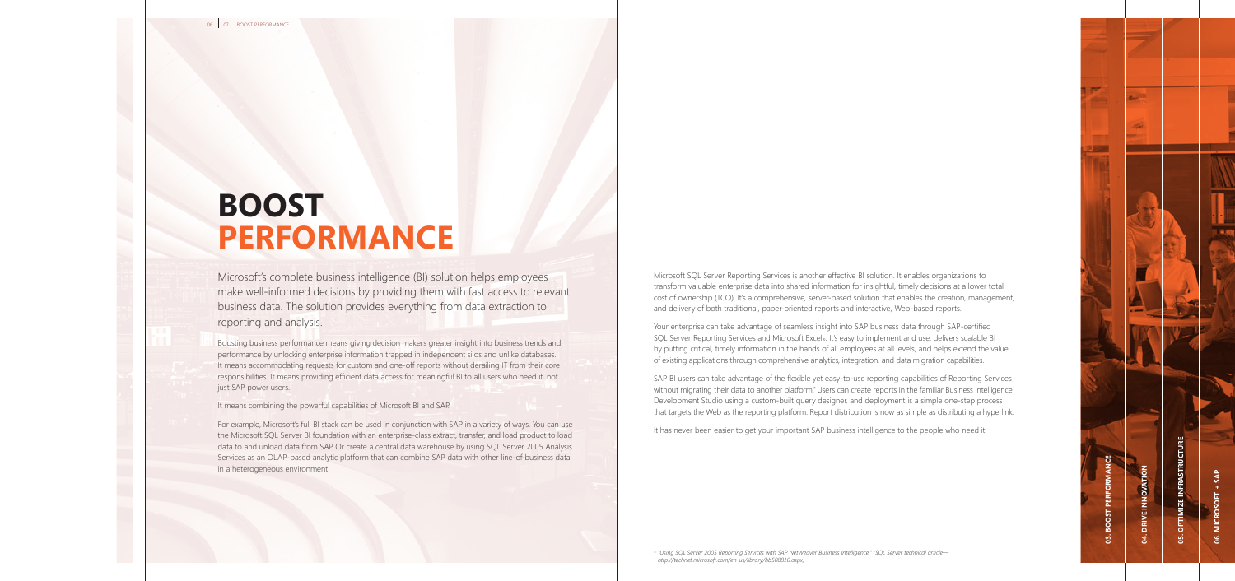# **BOOST Performance**

Microsoft's complete business intelligence (BI) solution helps employees make well-informed decisions by providing them with fast access to relevant business data. The solution provides everything from data extraction to reporting and analysis.

Boosting business performance means giving decision makers greater insight into business trends and performance by unlocking enterprise information trapped in independent silos and unlike databases. It means accommodating requests for custom and one-off reports without derailing IT from their core responsibilities. It means providing efficient data access for meaningful BI to all users who need it, not just SAP power users.

It means combining the powerful capabilities of Microsoft BI and SAP.

For example, Microsoft's full BI stack can be used in conjunction with SAP in a variety of ways. You can use the Microsoft SQL Server BI foundation with an enterprise-class extract, transfer, and load product to load data to and unload data from SAP. Or create a central data warehouse by using SQL Server 2005 Analysis Services as an OLAP-based analytic platform that can combine SAP data with other line-of-business data in a heterogeneous environment.

Microsoft SQL Server Reporting Services is another effective BI solution. It enables organizations to transform valuable enterprise data into shared information for insightful, timely decisions at a lower total cost of ownership (TCO). It's a comprehensive, server-based solution that enables the creation, management, and delivery of both traditional, paper-oriented reports and interactive, Web-based reports.

Your enterprise can take advantage of seamless insight into SAP business data through SAP-certified SQL Server Reporting Services and Microsoft Excel®. It's easy to implement and use, delivers scalable BI by putting critical, timely information in the hands of all employees at all levels, and helps extend the value of existing applications through comprehensive analytics, integration, and data migration capabilities.

SAP BI users can take advantage of the flexible yet easy-to-use reporting capabilities of Reporting Services without migrating their data to another platform.\* Users can create reports in the familiar Business Intelligence Development Studio using a custom-built query designer, and deployment is a simple one-step process that targets the Web as the reporting platform. Report distribution is now as simple as distributing a hyperlink.

It has never been easier to get your important SAP business intelligence to the people who need it.

\* *"Using SQL Server 2005 Reporting Services with SAP NetWeaver Business Intelligence." (SQL Server technical article http://technet.microsoft.com/en-us/library/bb508810.aspx)*

**06. Microsoft + SAP**

ဖွ

MICROSOFT + SAI

**03. Boost Performance**

**BOOST PERFORM** 

 $\ddot{2}$ 

**04. Drive Inn**

**o vation**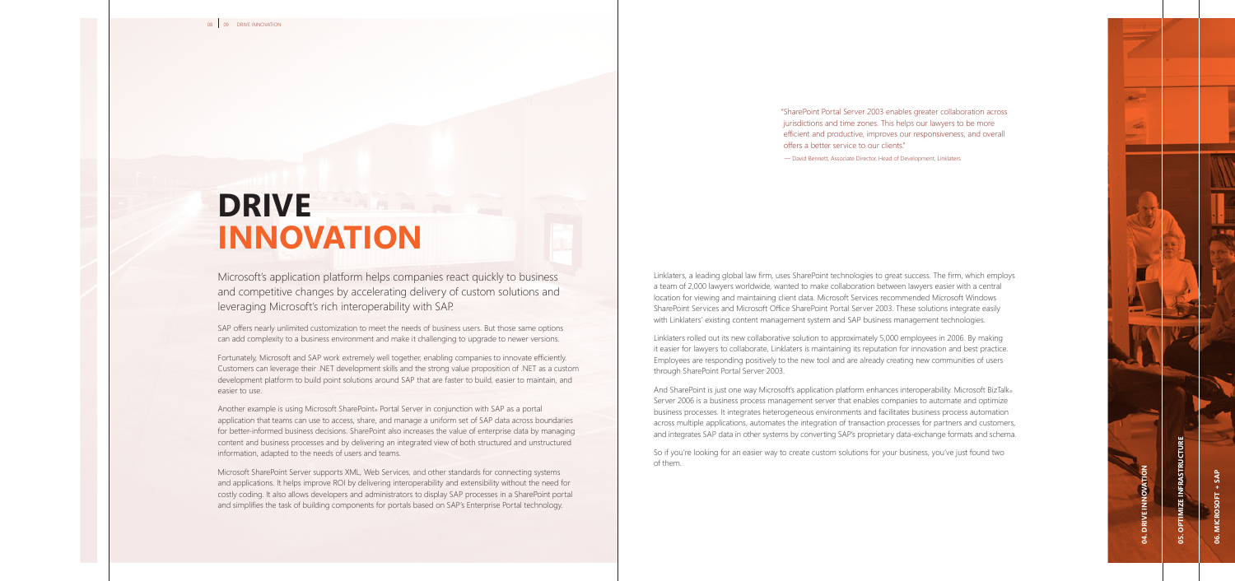"SharePoint Portal Server 2003 enables greater collaboration across jurisdictions and time zones. This helps our lawyers to be more efficient and productive, improves our responsiveness, and overall offers a better service to our clients."

— David Bennett, Associate Director, Head of Development, Linklaters

### **DRIVE innovation**

Microsoft's application platform helps companies react quickly to business and competitive changes by accelerating delivery of custom solutions and leveraging Microsoft's rich interoperability with SAP.

SAP offers nearly unlimited customization to meet the needs of business users. But those same options can add complexity to a business environment and make it challenging to upgrade to newer versions.

Fortunately, Microsoft and SAP work extremely well together, enabling companies to innovate efficiently. Customers can leverage their .NET development skills and the strong value proposition of .NET as a custom development platform to build point solutions around SAP that are faster to build, easier to maintain, and easier to use.

Another example is using Microsoft SharePoint® Portal Server in conjunction with SAP as a portal application that teams can use to access, share, and manage a uniform set of SAP data across boundaries for better-informed business decisions. SharePoint also increases the value of enterprise data by managing content and business processes and by delivering an integrated view of both structured and unstructured information, adapted to the needs of users and teams.

Microsoft SharePoint Server supports XML, Web Services, and other standards for connecting systems and applications. It helps improve ROI by delivering interoperability and extensibility without the need for costly coding. It also allows developers and administrators to display SAP processes in a SharePoint portal and simplifies the task of building components for portals based on SAP's Enterprise Portal technology.

Linklaters, a leading global law firm, uses SharePoint technologies to great success. The firm, which employs a team of 2,000 lawyers worldwide, wanted to make collaboration between lawyers easier with a central location for viewing and maintaining client data. Microsoft Services recommended Microsoft Windows SharePoint Services and Microsoft Office SharePoint Portal Server 2003. These solutions integrate easily with Linklaters' existing content management system and SAP business management technologies.

Linklaters rolled out its new collaborative solution to approximately 5,000 employees in 2006. By making it easier for lawyers to collaborate, Linklaters is maintaining its reputation for innovation and best practice. Employees are responding positively to the new tool and are already creating new communities of users through SharePoint Portal Server 2003.

And SharePoint is just one way Microsoft's application platform enhances interoperability. Microsoft BizTalk® Server 2006 is a business process management server that enables companies to automate and optimize business processes. It integrates heterogeneous environments and facilitates business process automation across multiple applications, automates the integration of transaction processes for partners and customers, and integrates SAP data in other systems by converting SAP's proprietary data-exchange formats and schema.

So if you're looking for an easier way to create custom solutions for your business, you've just found two of them.

**06. Microsoft + SAP**

**05. Optimize Infrastructure**

*IMIZE INFRASTRUCTURE* 

**04. Drive Inn**

**o vation**

**March** 

a,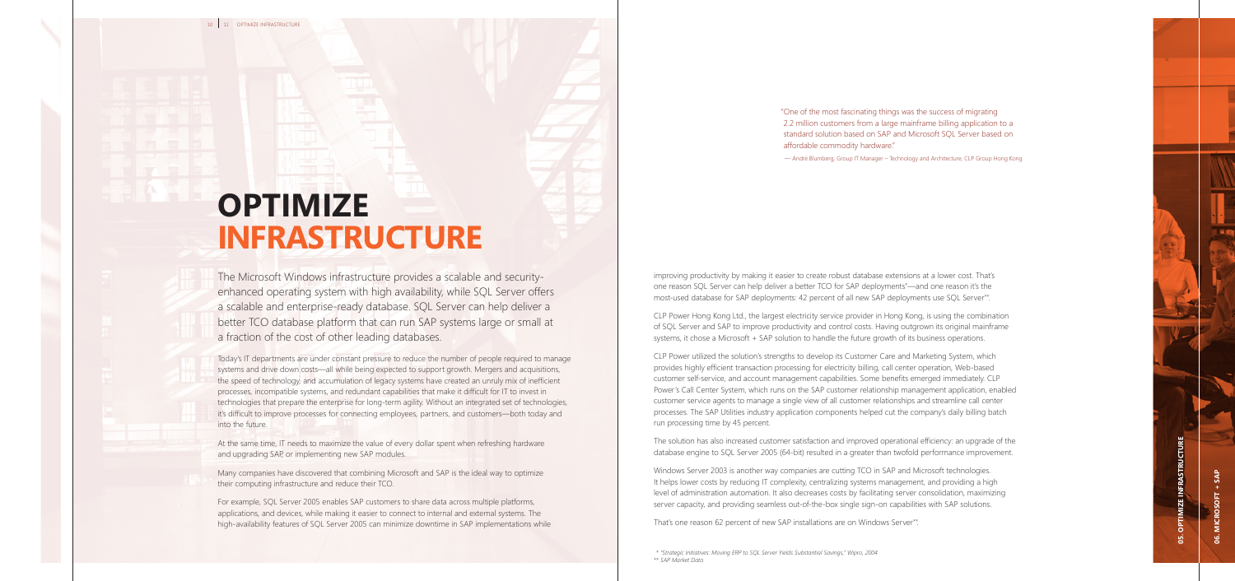improving productivity by making it easier to create robust database extensions at a lower cost. That's one reason SQL Server can help deliver a better TCO for SAP deployments\*—and one reason it's the most-used database for SAP deployments: 42 percent of all new SAP deployments use SQL Server\*\*.

CLP Power Hong Kong Ltd., the largest electricity service provider in Hong Kong, is using the combination of SQL Server and SAP to improve productivity and control costs. Having outgrown its original mainframe systems, it chose a Microsoft + SAP solution to handle the future growth of its business operations.

CLP Power utilized the solution's strengths to develop its Customer Care and Marketing System, which provides highly efficient transaction processing for electricity billing, call center operation, Web-based customer self-service, and account management capabilities. Some benefits emerged immediately. CLP Power's Call Center System, which runs on the SAP customer relationship management application, enabled customer service agents to manage a single view of all customer relationships and streamline call center processes. The SAP Utilities industry application components helped cut the company's daily billing batch run processing time by 45 percent.

The solution has also increased customer satisfaction and improved operational efficiency: an upgrade of the database engine to SQL Server 2005 (64-bit) resulted in a greater than twofold performance improvement.

Windows Server 2003 is another way companies are cutting TCO in SAP and Microsoft technologies. It helps lower costs by reducing IT complexity, centralizing systems management, and providing a high level of administration automation. It also decreases costs by facilitating server consolidation, maximizing server capacity, and providing seamless out-of-the-box single sign-on capabilities with SAP solutions.

That's one reason 62 percent of new SAP installations are on Windows Server\*\*.

"One of the most fascinating things was the success of migrating 2.2 million customers from a large mainframe billing application to a standard solution based on SAP and Microsoft SQL Server based on affordable commodity hardware."

— André Blumberg, Group IT Manager – Technology and Architecture, CLP Group Hong Kong



# **optimize infrastructure**

The Microsoft Windows infrastructure provides a scalable and securityenhanced operating system with high availability, while SQL Server offers a scalable and enterprise-ready database. SQL Server can help deliver a better TCO database platform that can run SAP systems large or small at a fraction of the cost of other leading databases.

Today's IT departments are under constant pressure to reduce the number of people required to manage systems and drive down costs—all while being expected to support growth. Mergers and acquisitions, the speed of technology, and accumulation of legacy systems have created an unruly mix of inefficient processes, incompatible systems, and redundant capabilities that make it difficult for IT to invest in technologies that prepare the enterprise for long-term agility. Without an integrated set of technologies, it's difficult to improve processes for connecting employees, partners, and customers—both today and into the future.

At the same time, IT needs to maximize the value of every dollar spent when refreshing hardware and upgrading SAP, or implementing new SAP modules.

Many companies have discovered that combining Microsoft and SAP is the ideal way to optimize their computing infrastructure and reduce their TCO.

For example, SQL Server 2005 enables SAP customers to share data across multiple platforms, applications, and devices, while making it easier to connect to internal and external systems. The high-availability features of SQL Server 2005 can minimize downtime in SAP implementations while

> \* *"Strategic Initiatives: Moving ERP to SQL Server Yields Substantial Savings," Wipro, 2004* \*\* *SAP Market Data*